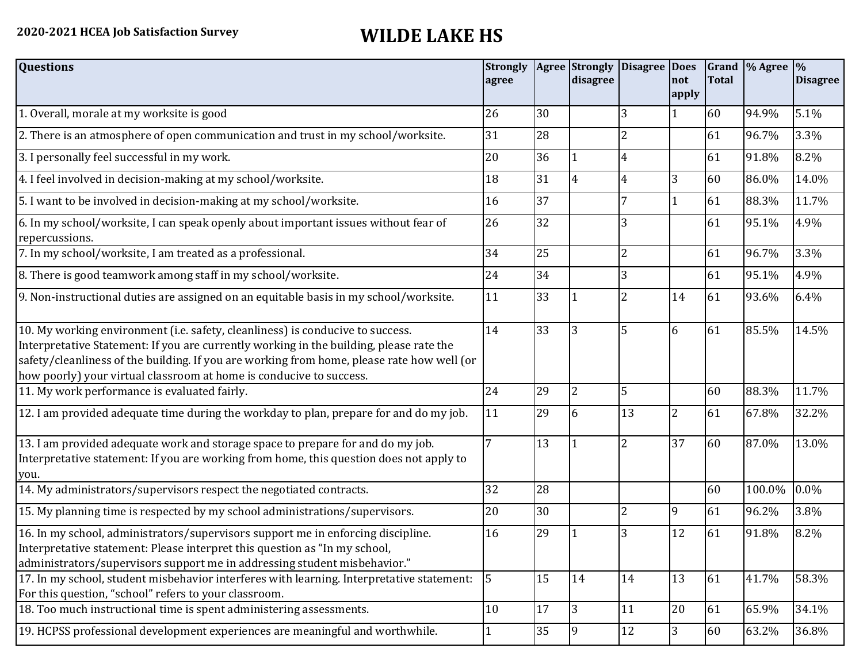## **2020-2021 HCEA Job Satisfaction Survey WILDE LAKE HS**

| <b>Questions</b>                                                                                                                                                                                                                                                                                                                               | <b>Strongly</b><br>agree |    | <b>Agree</b> Strongly<br>disagree | Disagree Does  | not<br>apply   | <b>Total</b> | Grand  % Agree | $\frac{9}{6}$<br><b>Disagree</b> |
|------------------------------------------------------------------------------------------------------------------------------------------------------------------------------------------------------------------------------------------------------------------------------------------------------------------------------------------------|--------------------------|----|-----------------------------------|----------------|----------------|--------------|----------------|----------------------------------|
| 1. Overall, morale at my worksite is good                                                                                                                                                                                                                                                                                                      | 26                       | 30 |                                   | 3              |                | 60           | 94.9%          | 5.1%                             |
| 2. There is an atmosphere of open communication and trust in my school/worksite.                                                                                                                                                                                                                                                               | 31                       | 28 |                                   | 2              |                | 61           | 96.7%          | 3.3%                             |
| 3. I personally feel successful in my work.                                                                                                                                                                                                                                                                                                    | 20                       | 36 |                                   | 4              |                | 61           | 91.8%          | 8.2%                             |
| 4. I feel involved in decision-making at my school/worksite.                                                                                                                                                                                                                                                                                   | 18                       | 31 | 4                                 | 4              | 3              | 60           | 86.0%          | 14.0%                            |
| 5. I want to be involved in decision-making at my school/worksite.                                                                                                                                                                                                                                                                             | 16                       | 37 |                                   |                | 1              | 61           | 88.3%          | 11.7%                            |
| 6. In my school/worksite, I can speak openly about important issues without fear of<br>repercussions.                                                                                                                                                                                                                                          | 26                       | 32 |                                   | 3              |                | 61           | 95.1%          | 4.9%                             |
| 7. In my school/worksite, I am treated as a professional.                                                                                                                                                                                                                                                                                      | 34                       | 25 |                                   | $\overline{2}$ |                | 61           | 96.7%          | 3.3%                             |
| 8. There is good teamwork among staff in my school/worksite.                                                                                                                                                                                                                                                                                   | 24                       | 34 |                                   | 3              |                | 61           | 95.1%          | 4.9%                             |
| 9. Non-instructional duties are assigned on an equitable basis in my school/worksite.                                                                                                                                                                                                                                                          | 11                       | 33 |                                   | $\overline{2}$ | 14             | 61           | 93.6%          | 6.4%                             |
| 10. My working environment (i.e. safety, cleanliness) is conducive to success.<br>Interpretative Statement: If you are currently working in the building, please rate the<br>safety/cleanliness of the building. If you are working from home, please rate how well (or<br>how poorly) your virtual classroom at home is conducive to success. | 14                       | 33 | 3                                 | 5              | 6              | 61           | 85.5%          | 14.5%                            |
| 11. My work performance is evaluated fairly.                                                                                                                                                                                                                                                                                                   | 24                       | 29 | $\overline{2}$                    | 5              |                | 60           | 88.3%          | 11.7%                            |
| 12. I am provided adequate time during the workday to plan, prepare for and do my job.                                                                                                                                                                                                                                                         | 11                       | 29 | 6                                 | 13             | $\overline{2}$ | 61           | 67.8%          | 32.2%                            |
| 13. I am provided adequate work and storage space to prepare for and do my job.<br>Interpretative statement: If you are working from home, this question does not apply to<br>you.                                                                                                                                                             | 7                        | 13 |                                   | $\overline{2}$ | 37             | 60           | 87.0%          | 13.0%                            |
| 14. My administrators/supervisors respect the negotiated contracts.                                                                                                                                                                                                                                                                            | 32                       | 28 |                                   |                |                | 60           | 100.0%         | 0.0%                             |
| 15. My planning time is respected by my school administrations/supervisors.                                                                                                                                                                                                                                                                    | 20                       | 30 |                                   | $\overline{2}$ | 9              | 61           | 96.2%          | 3.8%                             |
| 16. In my school, administrators/supervisors support me in enforcing discipline.<br>Interpretative statement: Please interpret this question as "In my school,<br>administrators/supervisors support me in addressing student misbehavior."                                                                                                    | 16                       | 29 |                                   | 3              | 12             | 61           | 91.8%          | 8.2%                             |
| 17. In my school, student misbehavior interferes with learning. Interpretative statement:<br>For this question, "school" refers to your classroom.                                                                                                                                                                                             | 5                        | 15 | 14                                | 14             | 13             | 61           | 41.7%          | 58.3%                            |
| 18. Too much instructional time is spent administering assessments.                                                                                                                                                                                                                                                                            | 10                       | 17 | 3                                 | 11             | 20             | 61           | 65.9%          | 34.1%                            |
| 19. HCPSS professional development experiences are meaningful and worthwhile.                                                                                                                                                                                                                                                                  |                          | 35 | 9                                 | 12             | $\overline{3}$ | 60           | 63.2%          | 36.8%                            |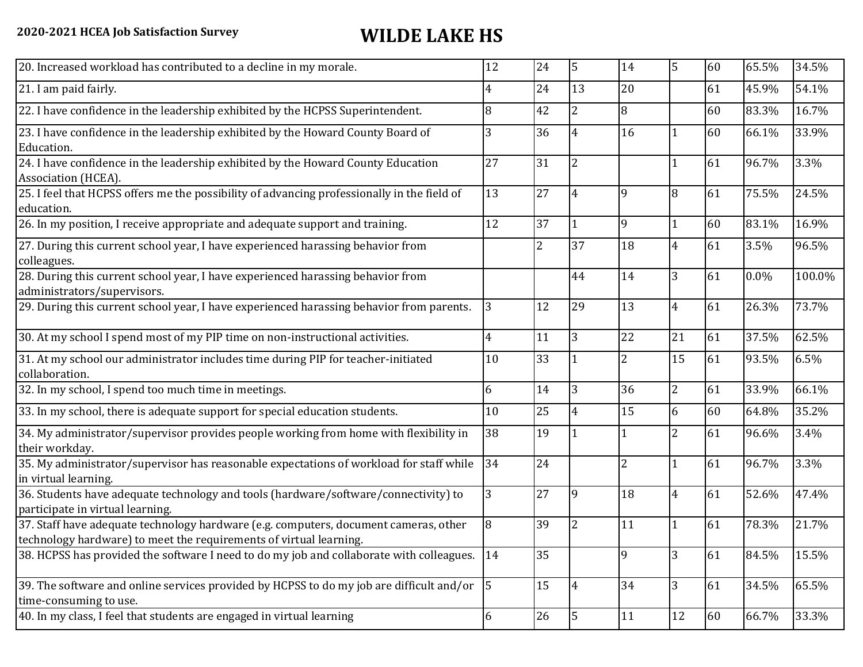| 24<br>13<br>20<br>61<br>45.9%<br>54.1%<br>4<br>8<br>8<br>42<br>$\overline{2}$<br>83.3%<br>16.7%<br>60<br>16<br>3<br>36<br>66.1%<br>33.9%<br>4<br>60<br>27<br>31<br>$\overline{2}$<br>3.3%<br>61<br>96.7%<br>13<br>27<br>9<br>61<br>75.5%<br>24.5%<br>8<br>4<br>12<br>37<br>9<br>83.1%<br>16.9%<br>$\mathbf{1}$<br>60<br>1<br>$\overline{2}$<br>37<br>18<br>61<br>3.5%<br>96.5%<br>$\overline{4}$<br>colleagues.<br>28. During this current school year, I have experienced harassing behavior from<br>14<br>3<br>44<br>0.0%<br>100.0%<br>61<br>13<br>3<br>29<br>73.7%<br>12<br>61<br>26.3%<br>4<br>11<br>3<br>22<br>21<br>$\overline{4}$<br>61<br>37.5%<br>62.5%<br>33<br>$\overline{2}$<br>15<br>6.5%<br>10<br>61<br>93.5%<br>collaboration.<br>36<br>2<br>6<br>14<br>3<br>61<br>33.9%<br>66.1%<br>$\overline{15}$<br>25<br>6<br>60<br>35.2%<br>10<br>64.8%<br>4<br>38<br>19<br>$\overline{2}$<br>96.6%<br>3.4%<br>61<br>24<br>$\overline{2}$<br>34<br>3.3%<br>61<br>96.7%<br>1<br>27<br>52.6%<br>3<br>18<br>$\overline{4}$<br>61<br>47.4%<br>9<br>participate in virtual learning.<br>21.7%<br>8<br>39<br>11<br>78.3%<br>2<br>61<br>35<br>84.5%<br>14<br>61<br>15.5%<br>$\overline{9}$<br>3<br>15<br>$\vert$ <sub>5</sub><br>65.5%<br>34<br>3<br>34.5%<br>61<br>$\overline{4}$<br>26<br>$\overline{5}$<br>12<br>33.3%<br>6<br>11<br>60<br>66.7% | 20. Increased workload has contributed to a decline in my morale.                                                                                          | 12 | 24 | 5 | 14 | 5 | 60 | 65.5% | 34.5% |
|---------------------------------------------------------------------------------------------------------------------------------------------------------------------------------------------------------------------------------------------------------------------------------------------------------------------------------------------------------------------------------------------------------------------------------------------------------------------------------------------------------------------------------------------------------------------------------------------------------------------------------------------------------------------------------------------------------------------------------------------------------------------------------------------------------------------------------------------------------------------------------------------------------------------------------------------------------------------------------------------------------------------------------------------------------------------------------------------------------------------------------------------------------------------------------------------------------------------------------------------------------------------------------------------------------------------------------------------------|------------------------------------------------------------------------------------------------------------------------------------------------------------|----|----|---|----|---|----|-------|-------|
|                                                                                                                                                                                                                                                                                                                                                                                                                                                                                                                                                                                                                                                                                                                                                                                                                                                                                                                                                                                                                                                                                                                                                                                                                                                                                                                                                   | 21. I am paid fairly.                                                                                                                                      |    |    |   |    |   |    |       |       |
|                                                                                                                                                                                                                                                                                                                                                                                                                                                                                                                                                                                                                                                                                                                                                                                                                                                                                                                                                                                                                                                                                                                                                                                                                                                                                                                                                   | 22. I have confidence in the leadership exhibited by the HCPSS Superintendent.                                                                             |    |    |   |    |   |    |       |       |
|                                                                                                                                                                                                                                                                                                                                                                                                                                                                                                                                                                                                                                                                                                                                                                                                                                                                                                                                                                                                                                                                                                                                                                                                                                                                                                                                                   | 23. I have confidence in the leadership exhibited by the Howard County Board of<br>Education.                                                              |    |    |   |    |   |    |       |       |
|                                                                                                                                                                                                                                                                                                                                                                                                                                                                                                                                                                                                                                                                                                                                                                                                                                                                                                                                                                                                                                                                                                                                                                                                                                                                                                                                                   | 24. I have confidence in the leadership exhibited by the Howard County Education<br>Association (HCEA).                                                    |    |    |   |    |   |    |       |       |
|                                                                                                                                                                                                                                                                                                                                                                                                                                                                                                                                                                                                                                                                                                                                                                                                                                                                                                                                                                                                                                                                                                                                                                                                                                                                                                                                                   | 25. I feel that HCPSS offers me the possibility of advancing professionally in the field of<br>education.                                                  |    |    |   |    |   |    |       |       |
|                                                                                                                                                                                                                                                                                                                                                                                                                                                                                                                                                                                                                                                                                                                                                                                                                                                                                                                                                                                                                                                                                                                                                                                                                                                                                                                                                   | 26. In my position, I receive appropriate and adequate support and training.                                                                               |    |    |   |    |   |    |       |       |
|                                                                                                                                                                                                                                                                                                                                                                                                                                                                                                                                                                                                                                                                                                                                                                                                                                                                                                                                                                                                                                                                                                                                                                                                                                                                                                                                                   | 27. During this current school year, I have experienced harassing behavior from                                                                            |    |    |   |    |   |    |       |       |
|                                                                                                                                                                                                                                                                                                                                                                                                                                                                                                                                                                                                                                                                                                                                                                                                                                                                                                                                                                                                                                                                                                                                                                                                                                                                                                                                                   | administrators/supervisors.                                                                                                                                |    |    |   |    |   |    |       |       |
|                                                                                                                                                                                                                                                                                                                                                                                                                                                                                                                                                                                                                                                                                                                                                                                                                                                                                                                                                                                                                                                                                                                                                                                                                                                                                                                                                   | 29. During this current school year, I have experienced harassing behavior from parents.                                                                   |    |    |   |    |   |    |       |       |
|                                                                                                                                                                                                                                                                                                                                                                                                                                                                                                                                                                                                                                                                                                                                                                                                                                                                                                                                                                                                                                                                                                                                                                                                                                                                                                                                                   | 30. At my school I spend most of my PIP time on non-instructional activities.                                                                              |    |    |   |    |   |    |       |       |
|                                                                                                                                                                                                                                                                                                                                                                                                                                                                                                                                                                                                                                                                                                                                                                                                                                                                                                                                                                                                                                                                                                                                                                                                                                                                                                                                                   | 31. At my school our administrator includes time during PIP for teacher-initiated                                                                          |    |    |   |    |   |    |       |       |
|                                                                                                                                                                                                                                                                                                                                                                                                                                                                                                                                                                                                                                                                                                                                                                                                                                                                                                                                                                                                                                                                                                                                                                                                                                                                                                                                                   | 32. In my school, I spend too much time in meetings.                                                                                                       |    |    |   |    |   |    |       |       |
|                                                                                                                                                                                                                                                                                                                                                                                                                                                                                                                                                                                                                                                                                                                                                                                                                                                                                                                                                                                                                                                                                                                                                                                                                                                                                                                                                   | 33. In my school, there is adequate support for special education students.                                                                                |    |    |   |    |   |    |       |       |
|                                                                                                                                                                                                                                                                                                                                                                                                                                                                                                                                                                                                                                                                                                                                                                                                                                                                                                                                                                                                                                                                                                                                                                                                                                                                                                                                                   | 34. My administrator/supervisor provides people working from home with flexibility in<br>their workday.                                                    |    |    |   |    |   |    |       |       |
|                                                                                                                                                                                                                                                                                                                                                                                                                                                                                                                                                                                                                                                                                                                                                                                                                                                                                                                                                                                                                                                                                                                                                                                                                                                                                                                                                   | 35. My administrator/supervisor has reasonable expectations of workload for staff while<br>in virtual learning.                                            |    |    |   |    |   |    |       |       |
|                                                                                                                                                                                                                                                                                                                                                                                                                                                                                                                                                                                                                                                                                                                                                                                                                                                                                                                                                                                                                                                                                                                                                                                                                                                                                                                                                   | 36. Students have adequate technology and tools (hardware/software/connectivity) to                                                                        |    |    |   |    |   |    |       |       |
|                                                                                                                                                                                                                                                                                                                                                                                                                                                                                                                                                                                                                                                                                                                                                                                                                                                                                                                                                                                                                                                                                                                                                                                                                                                                                                                                                   | 37. Staff have adequate technology hardware (e.g. computers, document cameras, other<br>technology hardware) to meet the requirements of virtual learning. |    |    |   |    |   |    |       |       |
|                                                                                                                                                                                                                                                                                                                                                                                                                                                                                                                                                                                                                                                                                                                                                                                                                                                                                                                                                                                                                                                                                                                                                                                                                                                                                                                                                   | 38. HCPSS has provided the software I need to do my job and collaborate with colleagues.                                                                   |    |    |   |    |   |    |       |       |
|                                                                                                                                                                                                                                                                                                                                                                                                                                                                                                                                                                                                                                                                                                                                                                                                                                                                                                                                                                                                                                                                                                                                                                                                                                                                                                                                                   | 39. The software and online services provided by HCPSS to do my job are difficult and/or<br>time-consuming to use.                                         |    |    |   |    |   |    |       |       |
|                                                                                                                                                                                                                                                                                                                                                                                                                                                                                                                                                                                                                                                                                                                                                                                                                                                                                                                                                                                                                                                                                                                                                                                                                                                                                                                                                   | 40. In my class, I feel that students are engaged in virtual learning                                                                                      |    |    |   |    |   |    |       |       |